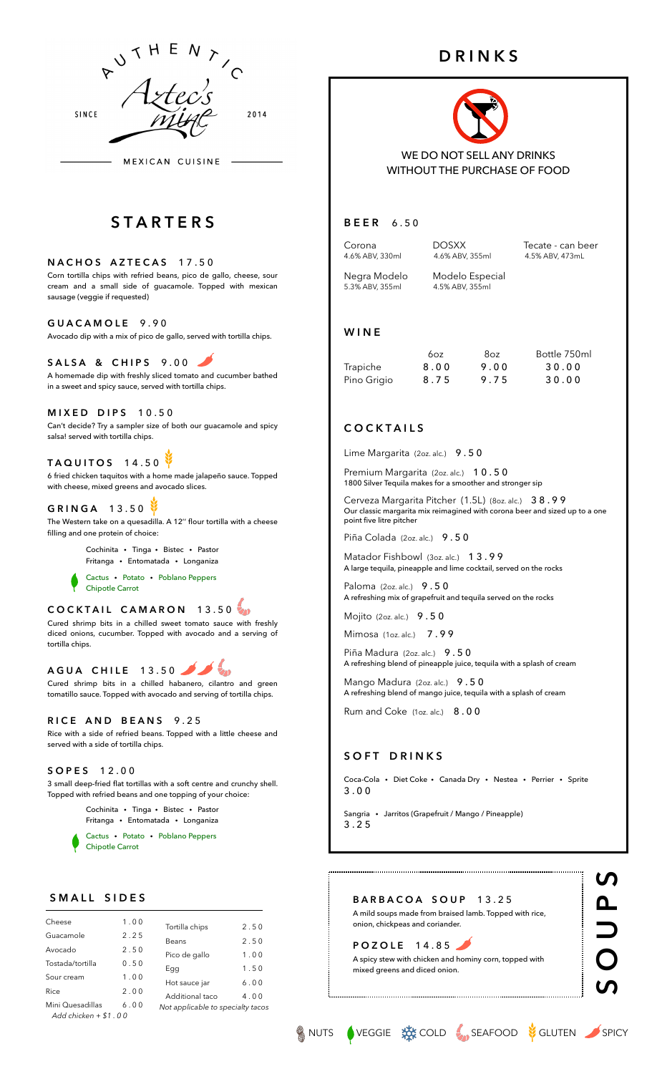

MEXICAN CUISINE

# **S T A R T E R S**

**NACHOS AZTECAS 17.50** Corn tortilla chips with refried beans, pico de gallo, cheese, sour cream and a small side of guacamole. Topped with mexican sausage (veggie if requested)

#### **G U A C A M O L E** 9 . 9 0

Avocado dip with a mix of pico de gallo, served with tortilla chips.

#### **SALSA & CHIPS 9.00**

A homemade dip with freshly sliced tomato and cucumber bathed in a sweet and spicy sauce, served with tortilla chips.

**MIXED DIPS 10.50** Can't decide? Try a sampler size of both our guacamole and spicy salsa! served with tortilla chips.

### **TAQUITOS 14.50**

6 fried chicken taquitos with a home made jalapeño sauce. Topped with cheese, mixed greens and avocado slices.

# G R I N G A 1 3.50

The Western take on a quesadilla. A 12'' flour tortilla with a cheese filling and one protein of choice:

> Cochinita·Tinga·Bistec·Pastor Fritanga·Entomatada·Longaniza

Cactus·Potato ·Poblano Peppers Chipotle Carrot

# **COCKTAIL CAMARON 13.50**

Cured shrimp bits in a chilled sweet tomato sauce with freshly diced onions, cucumber. Topped with avocado and a serving of tortilla chips.

**AGUA CHILE 13.50**  $\epsilon_{\rm m}$ 

Cured shrimp bits in a chilled habanero, cilantro and green tomatillo sauce. Topped with avocado and serving of tortilla chips.

#### **R I C E A N D B E A N S** 9 . 2 5

Rice with a side of refried beans. Topped with a little cheese and served with a side of tortilla chips.

#### **S O P E S** 1 2 . 0 0

3 small deep-fried flat tortillas with a soft centre and crunchy shell. Topped with refried beans and one topping of your choice:

> Cochinita·Tinga·Bistec·Pastor Fritanga·Entomatada·Longaniza

Cactus·Potato ·Poblano Peppers Chipotle Carrot

#### S M A L L S I D E S

| Cheese                                    | 1.00 | Tortilla chips                    | 2.50 |
|-------------------------------------------|------|-----------------------------------|------|
| Guacamole                                 | 2.25 | Beans                             | 2.50 |
| Avocado                                   | 2.50 | Pico de gallo                     | 1.00 |
| Tostada/tortilla                          | 0.50 | Egg                               | 1.50 |
| Sour cream                                | 1.00 | Hot sauce jar                     | 6.00 |
| Rice                                      | 2.00 | Additional taco                   | 4.00 |
| Mini Quesadillas<br>Add chicken $+ $1.00$ | 6.00 | Not applicable to specialty tacos |      |

# **D R I N K S**



WE DO NOT SELL ANY DRINKS WITHOUT THE PURCHASE OF FOOD

#### **B E E R** 6 . 5 0

Corona **DOSXX** Tecate - can beer<br>4.6% ABV 330ml 4.6% ABV 355ml 4.5% ABV 473ml 4.5% ABV, 473ml

Negra Modelo Modelo Especial<br>5.3% ABV. 355ml 4.5% ABV. 355ml 5.3% ABV, 355ml 4.5% ABV, 355ml

#### **W I N E**

|             | 60z  | 8oz  | Bottle 750ml |
|-------------|------|------|--------------|
| Trapiche    | 8.00 | 9.00 | 30.00        |
| Pino Grigio | 8.75 | 9.75 | 30.00        |

#### **C O C K T A I L S**

Lime Margarita (2oz. alc.) 9.50

Premium Margarita (2oz. alc.) 10.50 1800 Silver Tequila makes for a smoother and stronger sip

Cerveza Margarita Pitcher (1.5L) (8oz. alc.) 3 8 . 9 9 Our classic margarita mix reimagined with corona beer and sized up to a one point five litre pitcher

Piña Colada (2oz. alc.) 9.50

Matador Fishbowl (3oz. alc.) 13.99 A large tequila, pineapple and lime cocktail, served on the rocks

Paloma (2oz. alc.) 9.50 A refreshing mix of grapefruit and tequila served on the rocks

Mojito (2oz. alc.) 9.50

Mimosa (1oz. alc.) 7.99

Piña Madura (2oz. alc.) 9.50 A refreshing blend of pineapple juice, tequila with a splash of cream

Mango Madura (2oz. alc.) 9.50 A refreshing blend of mango juice, tequila with a splash of cream

Rum and Coke (1oz. alc.) 8.00

#### **SOFT DRINKS**

Coca-Cola·Diet Coke·Canada Dry·Nestea·Perrier·Sprite 3 . 0 0

Sangria ·Jarritos (Grapefruit / Mango / Pineapple) 3 . 2 5

**B A R B A C O A S O U P** 1 3 . 2 5 A mild soups made from braised lamb. Topped with rice, onion, chickpeas and coriander.

**POZOLE 14.85** A spicy stew with chicken and hominy corn, topped with mixed greens and diced onion.